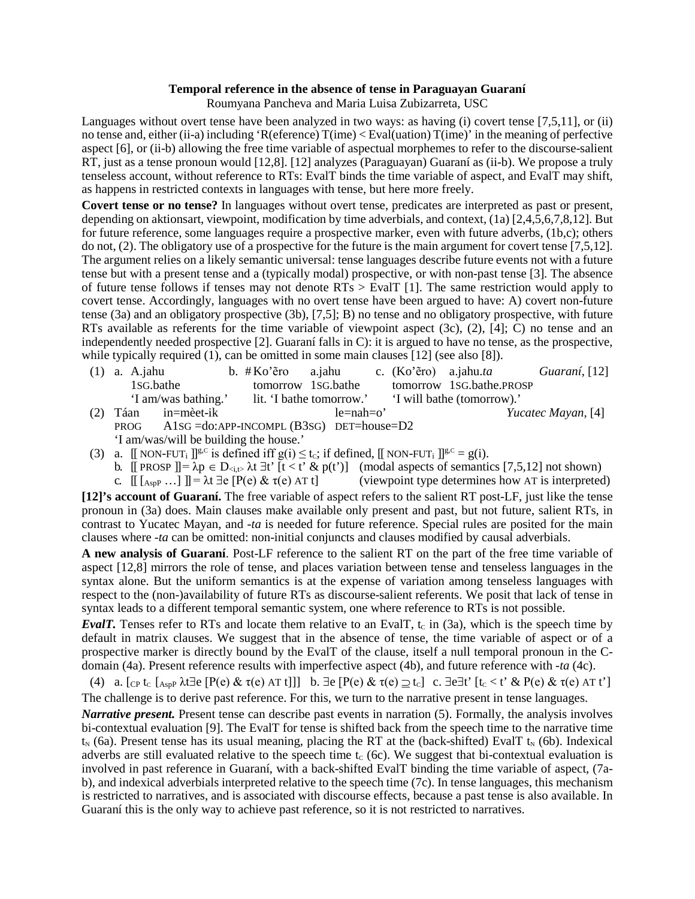## **Temporal reference in the absence of tense in Paraguayan Guaraní**

Roumyana Pancheva and Maria Luisa Zubizarreta, USC

Languages without overt tense have been analyzed in two ways: as having (i) covert tense [\[7,](#page--1-0)[5,](#page--1-1)[11\]](#page--1-2), or (ii) no tense and, either (ii-a) including 'R(eference) T(ime) < Eval(uation) T(ime)' in the meaning of perfective aspect [\[6\]](#page--1-3), or (ii-b) allowing the free time variable of aspectual morphemes to refer to the discourse-salient RT, just as a tense pronoun would [\[12](#page--1-4)[,8\]](#page--1-5). [\[12\]](#page--1-4) analyzes (Paraguayan) Guaraní as (ii-b). We propose a truly tenseless account, without reference to RTs: EvalT binds the time variable of aspect, and EvalT may shift, as happens in restricted contexts in languages with tense, but here more freely.

**Covert tense or no tense?** In languages without overt tense, predicates are interpreted as past or present, depending on aktionsart, viewpoint, modification by time adverbials, and context, [\(1a](#page-0-0)) [\[2,](#page--1-6)[4](#page--1-7)[,5](#page--1-1)[,6](#page--1-3)[,7,](#page--1-0)[8](#page--1-5)[,12\]](#page--1-4). But for future reference, some languages require a prospective marker, even with future adverbs, [\(1b](#page-0-0),c); others do not[, \(2\)](#page-0-1). The obligatory use of a prospective for the future is the main argument for covert tense [\[7](#page--1-0)[,5](#page--1-1)[,12\]](#page--1-4). The argument relies on a likely semantic universal: tense languages describe future events not with a future tense but with a present tense and a (typically modal) prospective, or with non-past tense [\[3\]](#page--1-8)*.* The absence of future tense follows if tenses may not denote RTs > EvalT [\[1\]](#page--1-9). The same restriction would apply to covert tense. Accordingly, languages with no overt tense have been argued to have: A) covert non-future tense [\(3a](#page-0-2)) and an obligatory prospective [\(3b](#page-0-2)), [\[7](#page--1-0)[,5\]](#page--1-1); B) no tense and no obligatory prospective, with future RTs available as referents for the time variable of viewpoint aspect  $(3c)$ ,  $(2)$ ,  $[4]$ ; C) no tense and an independently needed prospective [\[2\]](#page--1-6). Guaraní falls in C): it is argued to have no tense, as the prospective, while typically required [\(1\)](#page-0-0), can be omitted in some main clauses [\[12\]](#page--1-4) (see also [\[8\]](#page--1-5)).

- <span id="page-0-1"></span><span id="page-0-0"></span>(1) a. A.jahu b. # Ko'ẽro a.jahu c. (Ko'ẽro) a.jahu.*ta Guaraní*, [\[12\]](#page--1-4) 1SG.bathe tomorrow 1SG.bathe tomorrow 1SG.bathe.PROSP 'I am/was bathing.' lit. 'I bathe tomorrow.' 'I will bathe (tomorrow).' (2) Táan in=mèet-ik le=nah=o' *Yucatec Mayan,* [\[4\]](#page--1-7) PROG A1SG =do:APP-INCOMPL (B3SG) DET=house=D2 'I am/was/will be building the house.'
- <span id="page-0-2"></span>(3) a.  $\Box$  NON-FUT<sub>i</sub>  $\parallel^{g,C}$  is defined iff  $g(i) \leq t_c$ ; if defined,  $\Box$  NON-FUT<sub>i</sub>  $\parallel^{g,C} = g(i)$ .
	- b. [[ PROSP ]] =  $\lambda p \in D_{\le i, t}$ ,  $\lambda t \exists t'$  [t < t' & p(t')] (modal aspects of semantics [\[7,](#page--1-0)[5](#page--1-1)[,12\]](#page--1-4) not shown)<br>c. [[ [ Asp . . . ] ]] =  $\lambda t \exists t$  [P(e) &  $\tau(e)$  AT t] (viewpoint type determines how AT is interpreted
		- $(i$  (viewpoint type determines how AT is interpreted)

**[\[12\]](#page--1-4)'s account of Guaraní.** The free variable of aspect refers to the salient RT post-LF, just like the tense pronoun in [\(3a](#page-0-2)) does. Main clauses make available only present and past, but not future, salient RTs, in contrast to Yucatec Mayan, and *-ta* is needed for future reference. Special rules are posited for the main clauses where *-ta* can be omitted: non-initial conjuncts and clauses modified by causal adverbials.

**A new analysis of Guaraní**. Post-LF reference to the salient RT on the part of the free time variable of aspect [\[12,](#page--1-4)[8\]](#page--1-5) mirrors the role of tense, and places variation between tense and tenseless languages in the syntax alone. But the uniform semantics is at the expense of variation among tenseless languages with respect to the (non-)availability of future RTs as discourse-salient referents. We posit that lack of tense in syntax leads to a different temporal semantic system, one where reference to RTs is not possible.

*EvalT.* Tenses refer to RTs and locate them relative to an EvalT,  $t_c$  in [\(3a](#page-0-2)), which is the speech time by default in matrix clauses. We suggest that in the absence of tense, the time variable of aspect or of a prospective marker is directly bound by the EvalT of the clause, itself a null temporal pronoun in the Cdomain [\(4a](#page-0-3)). Present reference results with imperfective aspect [\(4b](#page-0-3)), and future reference with *-ta* [\(4c](#page-0-3)).

<span id="page-0-3"></span>(4) a.  $[CP \tImes$   $[Age \tImes@2]$   $[P(e) \& \tImes@2]$   $[Q(e) \& \tImes@2]$   $[Q(e) \& \tImes@2]$   $[Q(e) \& \tImes@2]$   $[Q(e) \& \tImes@2]$ The challenge is to derive past reference. For this, we turn to the narrative present in tense languages.

*Narrative present.* Present tense can describe past events in narration [\(5\)](#page-1-0). Formally, the analysis involves bi-contextual evaluation [\[9\]](#page--1-10). The EvalT for tense is shifted back from the speech time to the narrative time  $t_N$  [\(6a](#page-1-1)). Present tense has its usual meaning, placing the RT at the (back-shifted) EvalT  $t_N$  [\(6b](#page-1-1)). Indexical adverbs are still evaluated relative to the speech time  $t_c$  [\(6c](#page-1-1)). We suggest that bi-contextual evaluation is involved in past reference in Guaraní, with a back-shifted EvalT binding the time variable of aspect, [\(7a](#page-1-2)b), and indexical adverbials interpreted relative to the speech tim[e \(7c](#page-1-2)). In tense languages, this mechanism is restricted to narratives, and is associated with discourse effects, because a past tense is also available. In Guaraní this is the only way to achieve past reference, so it is not restricted to narratives.